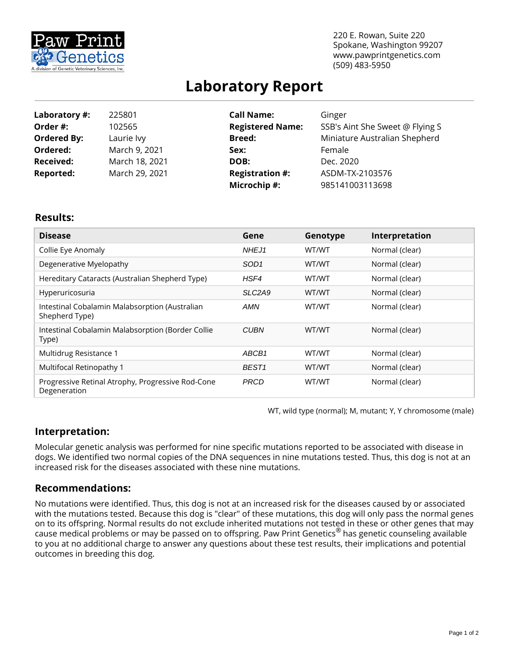

220 E. Rowan, Suite 220 Spokane, Washington 99207 www.pawprintgenetics.com (509) 483-5950

# **Laboratory Report**

| Laboratory #:      | 225801         | <b>Call Name:</b>       | Ginger                          |  |
|--------------------|----------------|-------------------------|---------------------------------|--|
| Order #:           | 102565         | <b>Registered Name:</b> | SSB's Aint She Sweet @ Flying S |  |
| <b>Ordered By:</b> | Laurie lvy     | <b>Breed:</b>           | Miniature Australian Shepherd   |  |
| Ordered:           | March 9, 2021  | Sex:                    | Female                          |  |
| <b>Received:</b>   | March 18, 2021 | DOB:<br>Dec. 2020       |                                 |  |
| <b>Reported:</b>   | March 29, 2021 | <b>Registration #:</b>  | ASDM-TX-2103576                 |  |
|                    |                | Microchip #:            | 985141003113698                 |  |

### **Results:**

| <b>Disease</b>                                                    | Gene                            | Genotype | Interpretation |
|-------------------------------------------------------------------|---------------------------------|----------|----------------|
| Collie Eye Anomaly                                                | NHEJ1                           | WT/WT    | Normal (clear) |
| Degenerative Myelopathy                                           | SOD <sub>1</sub>                | WT/WT    | Normal (clear) |
| Hereditary Cataracts (Australian Shepherd Type)                   | HSF4                            | WT/WT    | Normal (clear) |
| Hyperuricosuria                                                   | SLC <sub>2</sub> A <sub>9</sub> | WT/WT    | Normal (clear) |
| Intestinal Cobalamin Malabsorption (Australian<br>Shepherd Type)  | AMN                             | WT/WT    | Normal (clear) |
| Intestinal Cobalamin Malabsorption (Border Collie<br>Type)        | <b>CUBN</b>                     | WT/WT    | Normal (clear) |
| Multidrug Resistance 1                                            | ABCB1                           | WT/WT    | Normal (clear) |
| Multifocal Retinopathy 1                                          | BEST <sub>1</sub>               | WT/WT    | Normal (clear) |
| Progressive Retinal Atrophy, Progressive Rod-Cone<br>Degeneration | <b>PRCD</b>                     | WT/WT    | Normal (clear) |

WT, wild type (normal); M, mutant; Y, Y chromosome (male)

# **Interpretation:**

Molecular genetic analysis was performed for nine specific mutations reported to be associated with disease in dogs. We identified two normal copies of the DNA sequences in nine mutations tested. Thus, this dog is not at an increased risk for the diseases associated with these nine mutations.

# **Recommendations:**

No mutations were identified. Thus, this dog is not at an increased risk for the diseases caused by or associated with the mutations tested. Because this dog is "clear" of these mutations, this dog will only pass the normal genes on to its offspring. Normal results do not exclude inherited mutations not tested in these or other genes that may cause medical problems or may be passed on to offspring. Paw Print Genetics® has genetic counseling available to you at no additional charge to answer any questions about these test results, their implications and potential outcomes in breeding this dog.